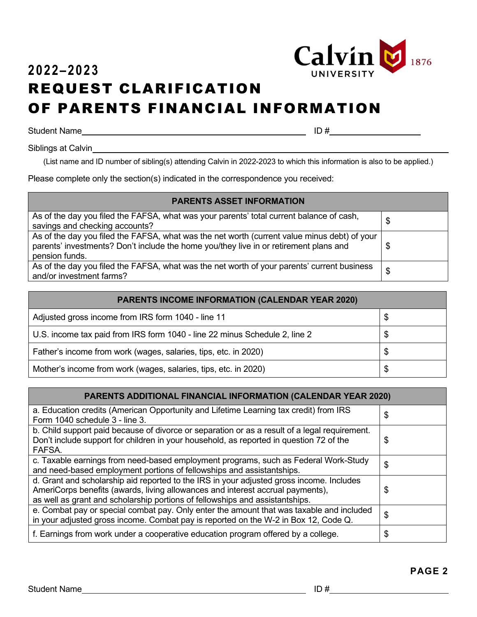

## **2022–2023** REQUEST CLARIFICATION OF PARENTS FINANCIAL INFORMATION

Student Name ID #

Siblings at Calvin

(List name and ID number of sibling(s) attending Calvin in 2022-2023 to which this information is also to be applied.)

Please complete only the section(s) indicated in the correspondence you received:

| <b>PARENTS ASSET INFORMATION</b>                                                                                                                                                                        |    |
|---------------------------------------------------------------------------------------------------------------------------------------------------------------------------------------------------------|----|
| As of the day you filed the FAFSA, what was your parents' total current balance of cash,<br>savings and checking accounts?                                                                              | \$ |
| As of the day you filed the FAFSA, what was the net worth (current value minus debt) of your<br>parents' investments? Don't include the home you/they live in or retirement plans and<br>pension funds. | \$ |
| As of the day you filed the FAFSA, what was the net worth of your parents' current business<br>and/or investment farms?                                                                                 | \$ |

| <b>PARENTS INCOME INFORMATION (CALENDAR YEAR 2020)</b>                     |    |
|----------------------------------------------------------------------------|----|
| Adjusted gross income from IRS form 1040 - line 11                         | \$ |
| U.S. income tax paid from IRS form 1040 - line 22 minus Schedule 2, line 2 | \$ |
| Father's income from work (wages, salaries, tips, etc. in 2020)            | S  |
| Mother's income from work (wages, salaries, tips, etc. in 2020)            | \$ |

| <b>PARENTS ADDITIONAL FINANCIAL INFORMATION (CALENDAR YEAR 2020)</b>                                                                                                                                                                                       |    |
|------------------------------------------------------------------------------------------------------------------------------------------------------------------------------------------------------------------------------------------------------------|----|
| a. Education credits (American Opportunity and Lifetime Learning tax credit) from IRS<br>Form 1040 schedule 3 - line 3.                                                                                                                                    | \$ |
| b. Child support paid because of divorce or separation or as a result of a legal requirement.<br>Don't include support for children in your household, as reported in question 72 of the<br>FAFSA.                                                         | \$ |
| c. Taxable earnings from need-based employment programs, such as Federal Work-Study<br>and need-based employment portions of fellowships and assistantships.                                                                                               | \$ |
| d. Grant and scholarship aid reported to the IRS in your adjusted gross income. Includes<br>AmeriCorps benefits (awards, living allowances and interest accrual payments),<br>as well as grant and scholarship portions of fellowships and assistantships. | \$ |
| e. Combat pay or special combat pay. Only enter the amount that was taxable and included<br>in your adjusted gross income. Combat pay is reported on the W-2 in Box 12, Code Q.                                                                            | \$ |
| f. Earnings from work under a cooperative education program offered by a college.                                                                                                                                                                          | \$ |

**PAGE 2**